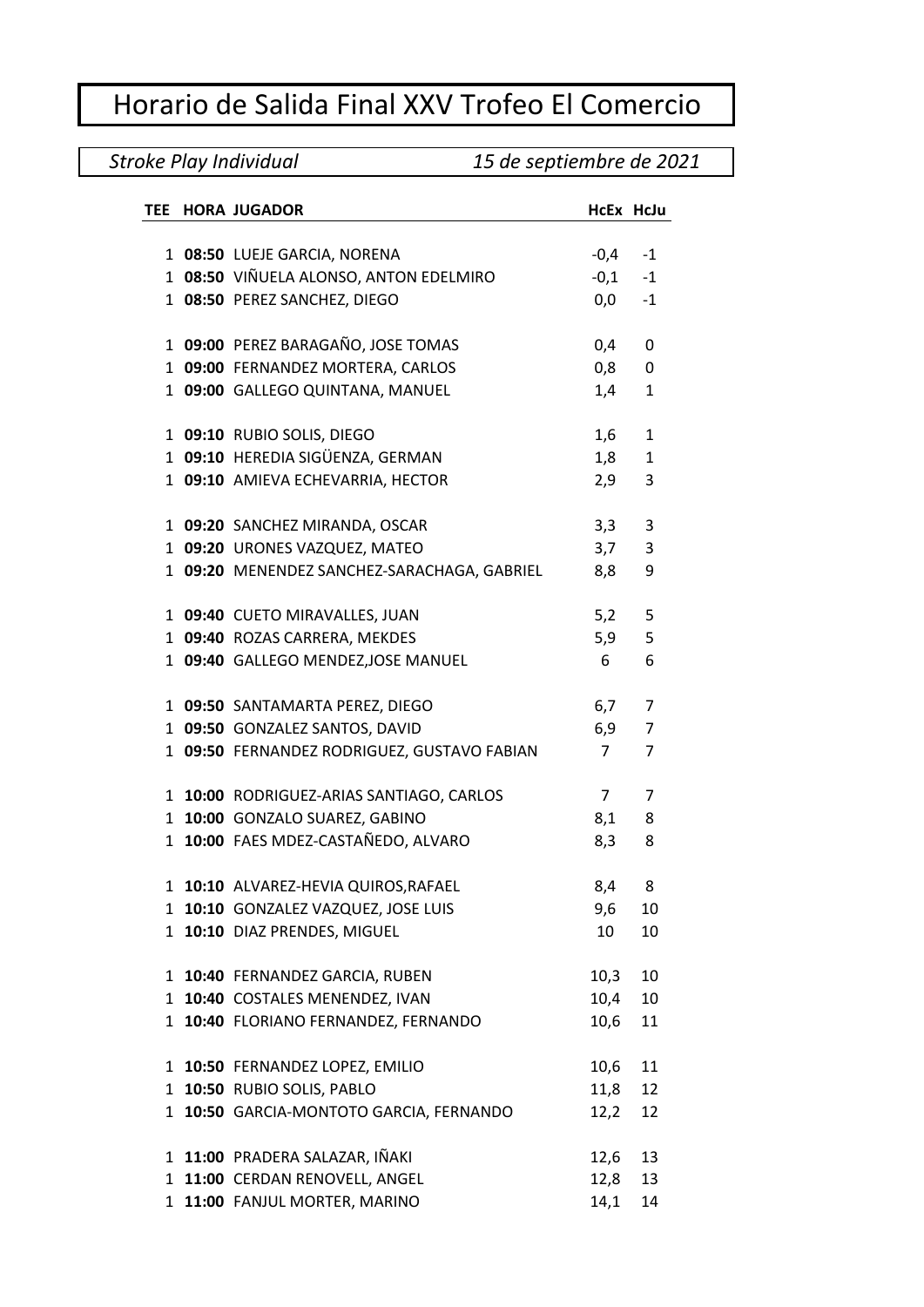## Horario de Salida Final XXV Trofeo El Comercio

## *Stroke Play Individual 15 de septiembre de 2021*

| TEE | <b>HORA JUGADOR</b>                         | HcEx HcJu      |                |
|-----|---------------------------------------------|----------------|----------------|
|     |                                             |                |                |
|     | 1 08:50 LUEJE GARCIA, NORENA                | $-0,4 -1$      |                |
|     | 1 08:50 VIÑUELA ALONSO, ANTON EDELMIRO      | $-0,1 -1$      |                |
|     | 1 08:50 PEREZ SANCHEZ, DIEGO                | 0,0            | $-1$           |
|     | 1 09:00 PEREZ BARAGAÑO, JOSE TOMAS          | 0,4            | 0              |
|     | 1 09:00 FERNANDEZ MORTERA, CARLOS           | 0,8            | 0              |
|     | 1 09:00 GALLEGO QUINTANA, MANUEL            | 1,4            | $\mathbf{1}$   |
|     |                                             |                |                |
|     | 1 09:10 RUBIO SOLIS, DIEGO                  | 1,6            | $\mathbf{1}$   |
|     | 1 09:10 HEREDIA SIGÜENZA, GERMAN            | 1,8            | $\mathbf{1}$   |
|     | 1 09:10 AMIEVA ECHEVARRIA, HECTOR           | 2,9            | 3              |
|     | 1 09:20 SANCHEZ MIRANDA, OSCAR              | 3,3            | 3              |
|     | 1 09:20 URONES VAZQUEZ, MATEO               | 3,7            | 3              |
|     | 1 09:20 MENENDEZ SANCHEZ-SARACHAGA, GABRIEL | 8,8            | 9              |
|     | 1 09:40 CUETO MIRAVALLES, JUAN              | 5,2            | 5              |
|     | 1 09:40 ROZAS CARRERA, MEKDES               | 5,9            | 5              |
|     | 1 09:40 GALLEGO MENDEZ, JOSE MANUEL         | 6              | 6              |
|     |                                             |                |                |
|     | 1 09:50 SANTAMARTA PEREZ, DIEGO             | 6,7            | 7              |
|     | 1 09:50 GONZALEZ SANTOS, DAVID              | 6,9            | $\overline{7}$ |
|     | 1 09:50 FERNANDEZ RODRIGUEZ, GUSTAVO FABIAN | $7^{\circ}$    | $\overline{7}$ |
|     | 1 10:00 RODRIGUEZ-ARIAS SANTIAGO, CARLOS    | 7 <sup>7</sup> | 7              |
|     | 1 10:00 GONZALO SUAREZ, GABINO              | 8,1            | 8              |
|     | 1 10:00 FAES MDEZ-CASTAÑEDO, ALVARO         | 8,3            | 8              |
|     |                                             |                |                |
|     | 1 10:10 ALVAREZ-HEVIA QUIROS, RAFAEL        | 8,4            | 8              |
|     | 1 10:10 GONZALEZ VAZQUEZ, JOSE LUIS         | 9,6            | 10             |
|     | 1 10:10 DIAZ PRENDES, MIGUEL                | 10             | 10             |
|     | 1 10:40 FERNANDEZ GARCIA, RUBEN             | 10,3           | 10             |
|     | 1 10:40 COSTALES MENENDEZ, IVAN             | 10,4           | 10             |
|     | 1 10:40 FLORIANO FERNANDEZ, FERNANDO        | 10,6           | 11             |
|     |                                             |                |                |
|     | 1 10:50 FERNANDEZ LOPEZ, EMILIO             | 10,6           | 11             |
|     | 1 10:50 RUBIO SOLIS, PABLO                  | 11,8           | 12             |
|     | 1 10:50 GARCIA-MONTOTO GARCIA, FERNANDO     | 12,2           | 12             |
|     | 1 11:00 PRADERA SALAZAR, IÑAKI              | 12,6           | 13             |
|     | 1 11:00 CERDAN RENOVELL, ANGEL              | 12,8           | 13             |
|     | 1 11:00 FANJUL MORTER, MARINO               | 14,1           | 14             |
|     |                                             |                |                |